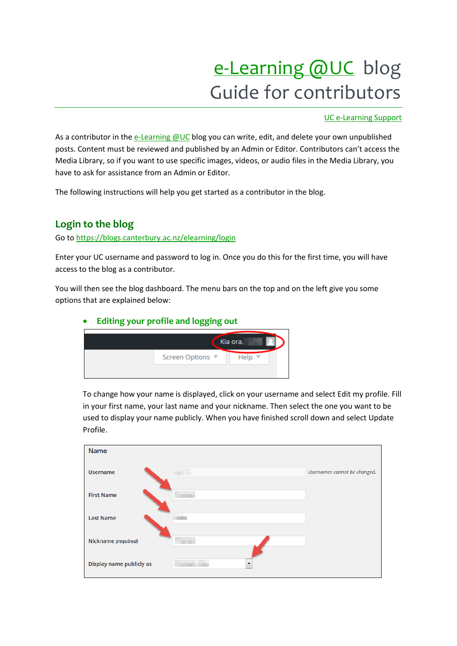# e-[Learning @UC](https://blogs.canterbury.ac.nz/elearning) blog Guide for contributors

### [UC e-Learning Support](http://library.canterbury.ac.nz/people/elm.shtml)

As a contributor in the [e-Learning @UC](https://blogs.canterbury.ac.nz/elearning/wp-login.php) blog you can write, edit, and delete your own unpublished posts. Content must be reviewed and published by an Admin or Editor. Contributors can't access the Media Library, so if you want to use specific images, videos, or audio files in the Media Library, you have to ask for assistance from an Admin or Editor.

The following instructions will help you get started as a contributor in the blog.

## **Login to the blog**

Go to<https://blogs.canterbury.ac.nz/elearning/login>

Enter your UC username and password to log in. Once you do this for the first time, you will have access to the blog as a contributor.

You will then see the blog dashboard. The menu bars on the top and on the left give you some options that are explained below:

## **Editing your profile and logging out**



To change how your name is displayed, click on your username and select Edit my profile. Fill in your first name, your last name and your nickname. Then select the one you want to be used to display your name publicly. When you have finished scroll down and select Update Profile.

| Name                                                 |                              |
|------------------------------------------------------|------------------------------|
| <b>Username</b>                                      | Usernames cannot be changed. |
| <b>First Name</b>                                    |                              |
| <b>Last Name</b>                                     |                              |
| Nickname (required)<br>×                             |                              |
| Display name publicly as<br>$\overline{\phantom{a}}$ |                              |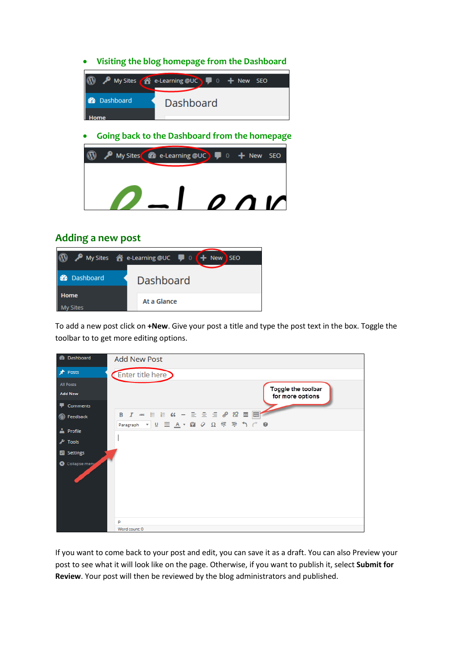#### **Visiting the blog homepage from the Dashboard**



#### **Going back to the Dashboard from the homepage**



## **Adding a new post**



To add a new post click on **+New**. Give your post a title and type the post text in the box. Toggle the toolbar to to get more editing options.

| <b>Add New Post</b>                 |
|-------------------------------------|
| Enter title here                    |
| Toggle the toolbar                  |
| for more options                    |
|                                     |
|                                     |
| Paragraph ▼ リ 亖 A ▼ 自 ⊘ Ω 亭 亭 う ♂ ● |
|                                     |
|                                     |
|                                     |
| p<br>Word count: 0                  |
|                                     |

If you want to come back to your post and edit, you can save it as a draft. You can also Preview your post to see what it will look like on the page. Otherwise, if you want to publish it, select **Submit for Review**. Your post will then be reviewed by the blog administrators and published.